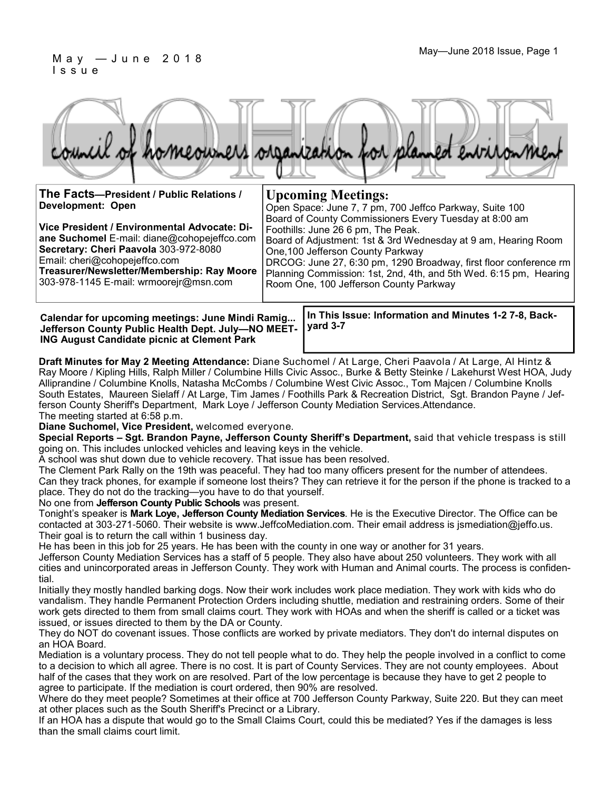#### May—June 2018 Issue, Page 1 M a y — J u n e 2 0 1 8 I s s u e

|  |  |  | council of homeowners organization for planned environment |
|--|--|--|------------------------------------------------------------|

Foothills: June 26 6 pm, The Peak.

One,100 Jefferson County Parkway

Room One, 100 Jefferson County Parkway

**The Facts—President / Public Relations / Development: Open Upcoming Meetings:** Open Space: June 7, 7 pm, 700 Jeffco Parkway, Suite 100 Board of County Commissioners Every Tuesday at 8:00 am

**Vice President / Environmental Advocate: Diane Suchomel** E-mail: diane@cohopejeffco.com **Secretary: Cheri Paavola** 303-972-8080 Email: cheri@cohopejeffco.com **Treasurer/Newsletter/Membership: Ray Moore**  303-978-1145 E-mail: wrmoorejr@msn.com

**Calendar for upcoming meetings: June Mindi Ramig... Jefferson County Public Health Dept. July—NO MEET-ING August Candidate picnic at Clement Park**

**In This Issue: Information and Minutes 1-2 7-8, Backyard 3-7** 

Board of Adjustment: 1st & 3rd Wednesday at 9 am, Hearing Room

DRCOG: June 27, 6:30 pm, 1290 Broadway, first floor conference rm Planning Commission: 1st, 2nd, 4th, and 5th Wed. 6:15 pm, Hearing

**Draft Minutes for May 2 Meeting Attendance:** Diane Suchomel / At Large, Cheri Paavola / At Large, Al Hintz & Ray Moore / Kipling Hills, Ralph Miller / Columbine Hills Civic Assoc., Burke & Betty Steinke / Lakehurst West HOA, Judy Alliprandine / Columbine Knolls, Natasha McCombs / Columbine West Civic Assoc., Tom Majcen / Columbine Knolls South Estates, Maureen Sielaff / At Large, Tim James / Foothills Park & Recreation District, Sgt. Brandon Payne / Jefferson County Sheriff's Department, Mark Loye / Jefferson County Mediation Services.Attendance. The meeting started at 6:58 p.m.

**Diane Suchomel, Vice President,** welcomed everyone.

**Special Reports – Sgt. Brandon Payne, Jefferson County Sheriff's Department,** said that vehicle trespass is still going on. This includes unlocked vehicles and leaving keys in the vehicle.

A school was shut down due to vehicle recovery. That issue has been resolved.

The Clement Park Rally on the 19th was peaceful. They had too many officers present for the number of attendees. Can they track phones, for example if someone lost theirs? They can retrieve it for the person if the phone is tracked to a place. They do not do the tracking—you have to do that yourself.

No one from **Jefferson County Public Schools** was present.

Tonight's speaker is **Mark Loye, Jefferson County Mediation Services**. He is the Executive Director. The Office can be contacted at 303-271-5060. Their website is www.JeffcoMediation.com. Their email address is jsmediation@jeffo.us. Their goal is to return the call within 1 business day.

He has been in this job for 25 years. He has been with the county in one way or another for 31 years.

Jefferson County Mediation Services has a staff of 5 people. They also have about 250 volunteers. They work with all cities and unincorporated areas in Jefferson County. They work with Human and Animal courts. The process is confidential.

Initially they mostly handled barking dogs. Now their work includes work place mediation. They work with kids who do vandalism. They handle Permanent Protection Orders including shuttle, mediation and restraining orders. Some of their work gets directed to them from small claims court. They work with HOAs and when the sheriff is called or a ticket was issued, or issues directed to them by the DA or County.

They do NOT do covenant issues. Those conflicts are worked by private mediators. They don't do internal disputes on an HOA Board.

Mediation is a voluntary process. They do not tell people what to do. They help the people involved in a conflict to come to a decision to which all agree. There is no cost. It is part of County Services. They are not county employees. About half of the cases that they work on are resolved. Part of the low percentage is because they have to get 2 people to agree to participate. If the mediation is court ordered, then 90% are resolved.

Where do they meet people? Sometimes at their office at 700 Jefferson County Parkway, Suite 220. But they can meet at other places such as the South Sheriff's Precinct or a Library.

If an HOA has a dispute that would go to the Small Claims Court, could this be mediated? Yes if the damages is less than the small claims court limit.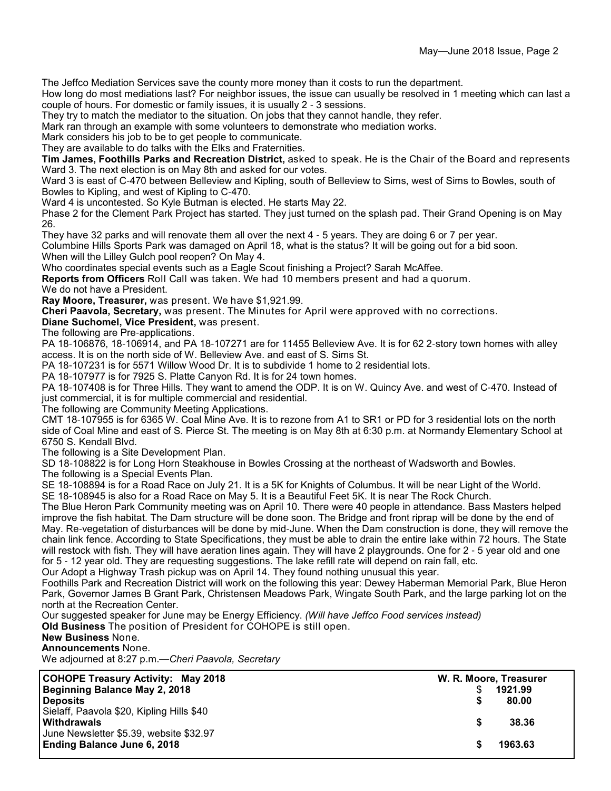The Jeffco Mediation Services save the county more money than it costs to run the department.

How long do most mediations last? For neighbor issues, the issue can usually be resolved in 1 meeting which can last a couple of hours. For domestic or family issues, it is usually 2 - 3 sessions.

They try to match the mediator to the situation. On jobs that they cannot handle, they refer.

Mark ran through an example with some volunteers to demonstrate who mediation works.

Mark considers his job to be to get people to communicate.

They are available to do talks with the Elks and Fraternities.

**Tim James, Foothills Parks and Recreation District,** asked to speak. He is the Chair of the Board and represents Ward 3. The next election is on May 8th and asked for our votes.

Ward 3 is east of C-470 between Belleview and Kipling, south of Belleview to Sims, west of Sims to Bowles, south of Bowles to Kipling, and west of Kipling to C-470.

Ward 4 is uncontested. So Kyle Butman is elected. He starts May 22.

Phase 2 for the Clement Park Project has started. They just turned on the splash pad. Their Grand Opening is on May 26.

They have 32 parks and will renovate them all over the next 4 - 5 years. They are doing 6 or 7 per year.

Columbine Hills Sports Park was damaged on April 18, what is the status? It will be going out for a bid soon. When will the Lilley Gulch pool reopen? On May 4.

Who coordinates special events such as a Eagle Scout finishing a Project? Sarah McAffee.

**Reports from Officers** Roll Call was taken. We had 10 members present and had a quorum.

We do not have a President.

**Ray Moore, Treasurer,** was present. We have \$1,921.99.

**Cheri Paavola, Secretary,** was present. The Minutes for April were approved with no corrections.

**Diane Suchomel, Vice President,** was present.

The following are Pre-applications.

PA 18-106876, 18-106914, and PA 18-107271 are for 11455 Belleview Ave. It is for 62 2-story town homes with alley access. It is on the north side of W. Belleview Ave. and east of S. Sims St.

PA 18-107231 is for 5571 Willow Wood Dr. It is to subdivide 1 home to 2 residential lots.

PA 18-107977 is for 7925 S. Platte Canyon Rd. It is for 24 town homes.

PA 18-107408 is for Three Hills. They want to amend the ODP. It is on W. Quincy Ave. and west of C-470. Instead of just commercial, it is for multiple commercial and residential.

The following are Community Meeting Applications.

CMT 18-107955 is for 6365 W. Coal Mine Ave. It is to rezone from A1 to SR1 or PD for 3 residential lots on the north side of Coal Mine and east of S. Pierce St. The meeting is on May 8th at 6:30 p.m. at Normandy Elementary School at 6750 S. Kendall Blvd.

The following is a Site Development Plan.

SD 18-108822 is for Long Horn Steakhouse in Bowles Crossing at the northeast of Wadsworth and Bowles.

The following is a Special Events Plan.

SE 18-108894 is for a Road Race on July 21. It is a 5K for Knights of Columbus. It will be near Light of the World. SE 18-108945 is also for a Road Race on May 5. It is a Beautiful Feet 5K. It is near The Rock Church.

The Blue Heron Park Community meeting was on April 10. There were 40 people in attendance. Bass Masters helped improve the fish habitat. The Dam structure will be done soon. The Bridge and front riprap will be done by the end of May. Re-vegetation of disturbances will be done by mid-June. When the Dam construction is done, they will remove the chain link fence. According to State Specifications, they must be able to drain the entire lake within 72 hours. The State

will restock with fish. They will have aeration lines again. They will have 2 playgrounds. One for 2 - 5 year old and one for 5 - 12 year old. They are requesting suggestions. The lake refill rate will depend on rain fall, etc.

Our Adopt a Highway Trash pickup was on April 14. They found nothing unusual this year.

Foothills Park and Recreation District will work on the following this year: Dewey Haberman Memorial Park, Blue Heron Park, Governor James B Grant Park, Christensen Meadows Park, Wingate South Park, and the large parking lot on the north at the Recreation Center.

Our suggested speaker for June may be Energy Efficiency. *(Will have Jeffco Food services instead)*

**Old Business** The position of President for COHOPE is still open.

#### **New Business** None.

**Announcements** None.

We adjourned at 8:27 p.m.—*Cheri Paavola, Secretary*

| W. R. Moore, Treasurer |         |  |
|------------------------|---------|--|
|                        | 1921.99 |  |
|                        | 80.00   |  |
|                        |         |  |
|                        | 38.36   |  |
|                        |         |  |
|                        | 1963.63 |  |
|                        |         |  |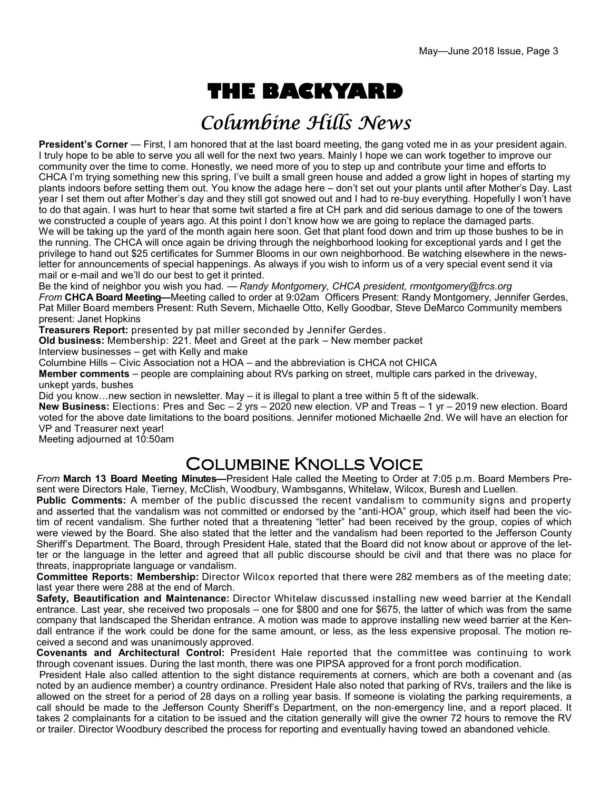# **THE BACKYARD**

## Columbine Hills News

**President's Corner** — First, I am honored that at the last board meeting, the gang voted me in as your president again. I truly hope to be able to serve you all well for the next two years. Mainly I hope we can work together to improve our community over the time to come. Honestly, we need more of you to step up and contribute your time and efforts to CHCA I'm trying something new this spring, I've built a small green house and added a grow light in hopes of starting my plants indoors before setting them out. You know the adage here – don't set out your plants until after Mother's Day. Last year I set them out after Mother's day and they still got snowed out and I had to re-buy everything. Hopefully I won't have to do that again. I was hurt to hear that some twit started a fire at CH park and did serious damage to one of the towers we constructed a couple of years ago. At this point I don't know how we are going to replace the damaged parts. We will be taking up the yard of the month again here soon. Get that plant food down and trim up those bushes to be in the running. The CHCA will once again be driving through the neighborhood looking for exceptional yards and I get the privilege to hand out \$25 certificates for Summer Blooms in our own neighborhood. Be watching elsewhere in the newsletter for announcements of special happenings. As always if you wish to inform us of a very special event send it via mail or e-mail and we'll do our best to get it printed.

Be the kind of neighbor you wish you had. — *Randy Montgomery, CHCA president, rmontgomery@frcs.org From* **CHCA Board Meeting—**Meeting called to order at 9:02am Officers Present: Randy Montgomery, Jennifer Gerdes, Pat Miller Board members Present: Ruth Severn, Michaelle Otto, Kelly Goodbar, Steve DeMarco Community members present: Janet Hopkins

**Treasurers Report:** presented by pat miller seconded by Jennifer Gerdes.

**Old business:** Membership: 221. Meet and Greet at the park – New member packet

Interview businesses – get with Kelly and make

Columbine Hills – Civic Association not a HOA – and the abbreviation is CHCA not CHICA

**Member comments** – people are complaining about RVs parking on street, multiple cars parked in the driveway, unkept yards, bushes

Did you know…new section in newsletter. May – it is illegal to plant a tree within 5 ft of the sidewalk.

**New Business:** Elections: Pres and Sec – 2 yrs – 2020 new election. VP and Treas – 1 yr – 2019 new election. Board voted for the above date limitations to the board positions. Jennifer motioned Michaelle 2nd. We will have an election for VP and Treasurer next year!

Meeting adjourned at 10:50am

## Columbine Knolls Voice

*From* **March 13 Board Meeting Minutes—**President Hale called the Meeting to Order at 7:05 p.m. Board Members Present were Directors Hale, Tierney, McClish, Woodbury, Wambsganns, Whitelaw, Wilcox, Buresh and Luellen.

**Public Comments:** A member of the public discussed the recent vandalism to community signs and property and asserted that the vandalism was not committed or endorsed by the "anti-HOA" group, which itself had been the victim of recent vandalism. She further noted that a threatening "letter" had been received by the group, copies of which were viewed by the Board. She also stated that the letter and the vandalism had been reported to the Jefferson County Sheriff's Department. The Board, through President Hale, stated that the Board did not know about or approve of the letter or the language in the letter and agreed that all public discourse should be civil and that there was no place for threats, inappropriate language or vandalism.

**Committee Reports: Membership:** Director Wilcox reported that there were 282 members as of the meeting date; last year there were 288 at the end of March.

**Safety, Beautification and Maintenance:** Director Whitelaw discussed installing new weed barrier at the Kendall entrance. Last year, she received two proposals – one for \$800 and one for \$675, the latter of which was from the same company that landscaped the Sheridan entrance. A motion was made to approve installing new weed barrier at the Kendall entrance if the work could be done for the same amount, or less, as the less expensive proposal. The motion received a second and was unanimously approved.

**Covenants and Architectural Control:** President Hale reported that the committee was continuing to work through covenant issues. During the last month, there was one PIPSA approved for a front porch modification.

 President Hale also called attention to the sight distance requirements at corners, which are both a covenant and (as noted by an audience member) a country ordinance. President Hale also noted that parking of RVs, trailers and the like is allowed on the street for a period of 28 days on a rolling year basis. If someone is violating the parking requirements, a call should be made to the Jefferson County Sheriff's Department, on the non-emergency line, and a report placed. It takes 2 complainants for a citation to be issued and the citation generally will give the owner 72 hours to remove the RV or trailer. Director Woodbury described the process for reporting and eventually having towed an abandoned vehicle.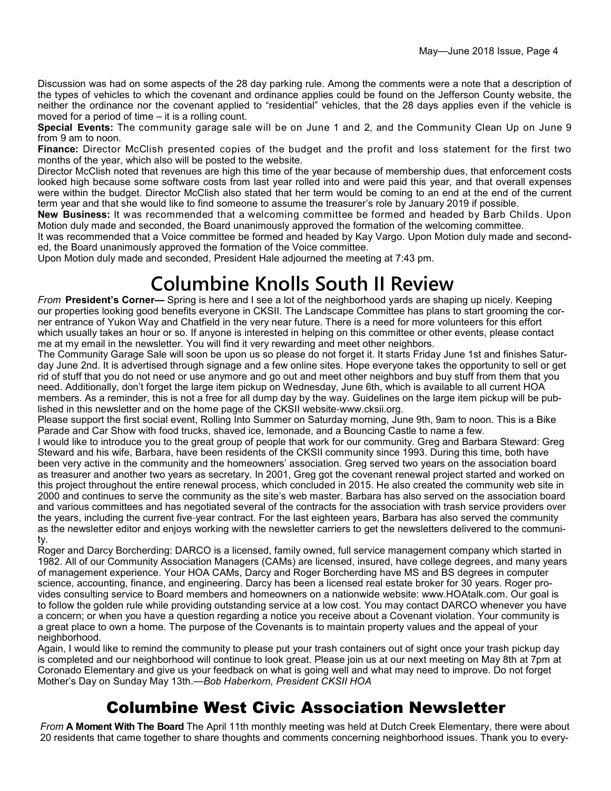Discussion was had on some aspects of the 28 day parking rule. Among the comments were a note that a description of the types of vehicles to which the covenant and ordinance applies could be found on the Jefferson County website, the neither the ordinance nor the covenant applied to "residential" vehicles, that the 28 days applies even if the vehicle is moved for a period of time – it is a rolling count.

**Special Events:** The community garage sale will be on June 1 and 2, and the Community Clean Up on June 9 from 9 am to noon.

**Finance:** Director McClish presented copies of the budget and the profit and loss statement for the first two months of the year, which also will be posted to the website.

Director McClish noted that revenues are high this time of the year because of membership dues, that enforcement costs looked high because some software costs from last year rolled into and were paid this year, and that overall expenses were within the budget. Director McClish also stated that her term would be coming to an end at the end of the current term year and that she would like to find someone to assume the treasurer's role by January 2019 if possible.

**New Business:** It was recommended that a welcoming committee be formed and headed by Barb Childs. Upon Motion duly made and seconded, the Board unanimously approved the formation of the welcoming committee.

It was recommended that a Voice committee be formed and headed by Kay Vargo. Upon Motion duly made and seconded, the Board unanimously approved the formation of the Voice committee.

Upon Motion duly made and seconded, President Hale adjourned the meeting at 7:43 pm.

# **Columbine Knolls South II Review**

*From* **President's Corner—** Spring is here and I see a lot of the neighborhood yards are shaping up nicely. Keeping our properties looking good benefits everyone in CKSII. The Landscape Committee has plans to start grooming the corner entrance of Yukon Way and Chatfield in the very near future. There is a need for more volunteers for this effort which usually takes an hour or so. If anyone is interested in helping on this committee or other events, please contact me at my email in the newsletter. You will find it very rewarding and meet other neighbors.

The Community Garage Sale will soon be upon us so please do not forget it. It starts Friday June 1st and finishes Saturday June 2nd. It is advertised through signage and a few online sites. Hope everyone takes the opportunity to sell or get rid of stuff that you do not need or use anymore and go out and meet other neighbors and buy stuff from them that you need. Additionally, don't forget the large item pickup on Wednesday, June 6th, which is available to all current HOA members. As a reminder, this is not a free for all dump day by the way. Guidelines on the large item pickup will be published in this newsletter and on the home page of the CKSII website-www.cksii.org.

Please support the first social event, Rolling Into Summer on Saturday morning, June 9th, 9am to noon. This is a Bike Parade and Car Show with food trucks, shaved ice, lemonade, and a Bouncing Castle to name a few.

I would like to introduce you to the great group of people that work for our community. Greg and Barbara Steward: Greg Steward and his wife, Barbara, have been residents of the CKSII community since 1993. During this time, both have been very active in the community and the homeowners' association. Greg served two years on the association board as treasurer and another two years as secretary. In 2001, Greg got the covenant renewal project started and worked on this project throughout the entire renewal process, which concluded in 2015. He also created the community web site in 2000 and continues to serve the community as the site's web master. Barbara has also served on the association board and various committees and has negotiated several of the contracts for the association with trash service providers over the years, including the current five-year contract. For the last eighteen years, Barbara has also served the community as the newsletter editor and enjoys working with the newsletter carriers to get the newsletters delivered to the community.

Roger and Darcy Borcherding: DARCO is a licensed, family owned, full service management company which started in 1982. All of our Community Association Managers (CAMs) are licensed, insured, have college degrees, and many years of management experience. Your HOA CAMs, Darcy and Roger Borcherding have MS and BS degrees in computer science, accounting, finance, and engineering. Darcy has been a licensed real estate broker for 30 years. Roger provides consulting service to Board members and homeowners on a nationwide website: www.HOAtalk.com. Our goal is to follow the golden rule while providing outstanding service at a low cost. You may contact DARCO whenever you have a concern; or when you have a question regarding a notice you receive about a Covenant violation. Your community is a great place to own a home. The purpose of the Covenants is to maintain property values and the appeal of your neighborhood.

Again, I would like to remind the community to please put your trash containers out of sight once your trash pickup day is completed and our neighborhood will continue to look great. Please join us at our next meeting on May 8th at 7pm at Coronado Elementary and give us your feedback on what is going well and what may need to improve. Do not forget Mother's Day on Sunday May 13th.—*Bob Haberkorn, President CKSII HOA*

## Columbine West Civic Association Newsletter

*From* **A Moment With The Board** The April 11th monthly meeting was held at Dutch Creek Elementary, there were about 20 residents that came together to share thoughts and comments concerning neighborhood issues. Thank you to every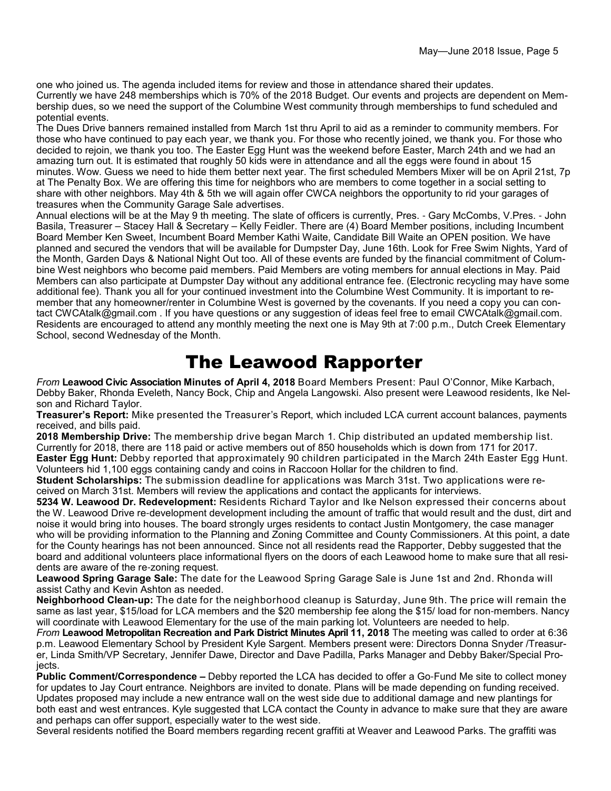one who joined us. The agenda included items for review and those in attendance shared their updates. Currently we have 248 memberships which is 70% of the 2018 Budget. Our events and projects are dependent on Membership dues, so we need the support of the Columbine West community through memberships to fund scheduled and potential events.

The Dues Drive banners remained installed from March 1st thru April to aid as a reminder to community members. For those who have continued to pay each year, we thank you. For those who recently joined, we thank you. For those who decided to rejoin, we thank you too. The Easter Egg Hunt was the weekend before Easter, March 24th and we had an amazing turn out. It is estimated that roughly 50 kids were in attendance and all the eggs were found in about 15 minutes. Wow. Guess we need to hide them better next year. The first scheduled Members Mixer will be on April 21st, 7p at The Penalty Box. We are offering this time for neighbors who are members to come together in a social setting to share with other neighbors. May 4th & 5th we will again offer CWCA neighbors the opportunity to rid your garages of treasures when the Community Garage Sale advertises.

Annual elections will be at the May 9 th meeting. The slate of officers is currently, Pres. - Gary McCombs, V.Pres. - John Basila, Treasurer – Stacey Hall & Secretary – Kelly Feidler. There are (4) Board Member positions, including Incumbent Board Member Ken Sweet, Incumbent Board Member Kathi Waite, Candidate Bill Waite an OPEN position. We have planned and secured the vendors that will be available for Dumpster Day, June 16th. Look for Free Swim Nights, Yard of the Month, Garden Days & National Night Out too. All of these events are funded by the financial commitment of Columbine West neighbors who become paid members. Paid Members are voting members for annual elections in May. Paid Members can also participate at Dumpster Day without any additional entrance fee. (Electronic recycling may have some additional fee). Thank you all for your continued investment into the Columbine West Community. It is important to remember that any homeowner/renter in Columbine West is governed by the covenants. If you need a copy you can contact CWCAtalk@gmail.com . If you have questions or any suggestion of ideas feel free to email CWCAtalk@gmail.com. Residents are encouraged to attend any monthly meeting the next one is May 9th at 7:00 p.m., Dutch Creek Elementary School, second Wednesday of the Month.

## The Leawood Rapporter

*From* **Leawood Civic Association Minutes of April 4, 2018** Board Members Present: Paul O'Connor, Mike Karbach, Debby Baker, Rhonda Eveleth, Nancy Bock, Chip and Angela Langowski. Also present were Leawood residents, Ike Nelson and Richard Taylor.

**Treasurer's Report:** Mike presented the Treasurer's Report, which included LCA current account balances, payments received, and bills paid.

**2018 Membership Drive:** The membership drive began March 1. Chip distributed an updated membership list. Currently for 2018, there are 118 paid or active members out of 850 households which is down from 171 for 2017. **Easter Egg Hunt:** Debby reported that approximately 90 children participated in the March 24th Easter Egg Hunt. Volunteers hid 1,100 eggs containing candy and coins in Raccoon Hollar for the children to find.

**Student Scholarships:** The submission deadline for applications was March 31st. Two applications were received on March 31st. Members will review the applications and contact the applicants for interviews.

**5234 W. Leawood Dr. Redevelopment:** Residents Richard Taylor and Ike Nelson expressed their concerns about the W. Leawood Drive re-development development including the amount of traffic that would result and the dust, dirt and noise it would bring into houses. The board strongly urges residents to contact Justin Montgomery, the case manager who will be providing information to the Planning and Zoning Committee and County Commissioners. At this point, a date for the County hearings has not been announced. Since not all residents read the Rapporter, Debby suggested that the board and additional volunteers place informational flyers on the doors of each Leawood home to make sure that all residents are aware of the re-zoning request.

**Leawood Spring Garage Sale:** The date for the Leawood Spring Garage Sale is June 1st and 2nd. Rhonda will assist Cathy and Kevin Ashton as needed.

**Neighborhood Clean-up:** The date for the neighborhood cleanup is Saturday, June 9th. The price will remain the same as last year, \$15/load for LCA members and the \$20 membership fee along the \$15/ load for non-members. Nancy will coordinate with Leawood Elementary for the use of the main parking lot. Volunteers are needed to help.

*From* **Leawood Metropolitan Recreation and Park District Minutes April 11, 2018** The meeting was called to order at 6:36 p.m. Leawood Elementary School by President Kyle Sargent. Members present were: Directors Donna Snyder /Treasurer, Linda Smith/VP Secretary, Jennifer Dawe, Director and Dave Padilla, Parks Manager and Debby Baker/Special Projects.

**Public Comment/Correspondence –** Debby reported the LCA has decided to offer a Go-Fund Me site to collect money for updates to Jay Court entrance. Neighbors are invited to donate. Plans will be made depending on funding received. Updates proposed may include a new entrance wall on the west side due to additional damage and new plantings for both east and west entrances. Kyle suggested that LCA contact the County in advance to make sure that they are aware and perhaps can offer support, especially water to the west side.

Several residents notified the Board members regarding recent graffiti at Weaver and Leawood Parks. The graffiti was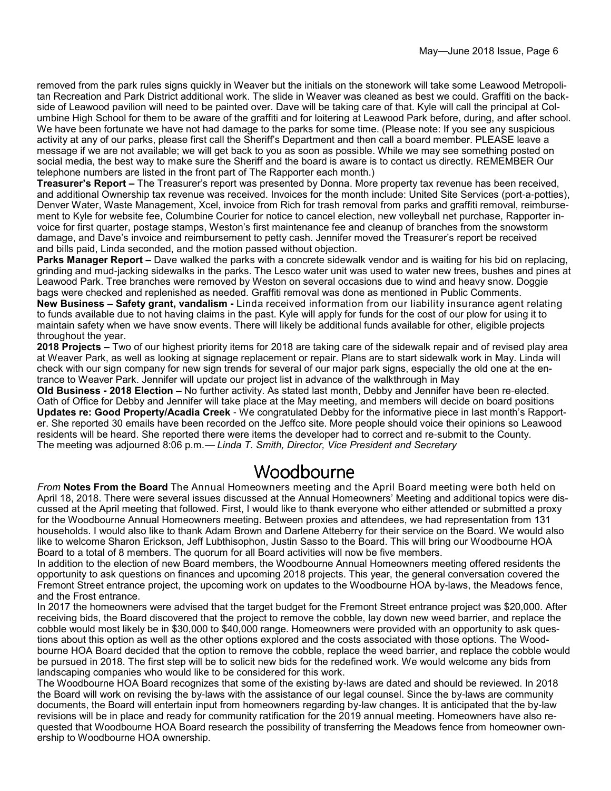removed from the park rules signs quickly in Weaver but the initials on the stonework will take some Leawood Metropolitan Recreation and Park District additional work. The slide in Weaver was cleaned as best we could. Graffiti on the backside of Leawood pavilion will need to be painted over. Dave will be taking care of that. Kyle will call the principal at Columbine High School for them to be aware of the graffiti and for loitering at Leawood Park before, during, and after school. We have been fortunate we have not had damage to the parks for some time. (Please note: If you see any suspicious activity at any of our parks, please first call the Sheriff's Department and then call a board member. PLEASE leave a message if we are not available; we will get back to you as soon as possible. While we may see something posted on social media, the best way to make sure the Sheriff and the board is aware is to contact us directly. REMEMBER Our telephone numbers are listed in the front part of The Rapporter each month.)

**Treasurer's Report –** The Treasurer's report was presented by Donna. More property tax revenue has been received, and additional Ownership tax revenue was received. Invoices for the month include: United Site Services (port-a-potties), Denver Water, Waste Management, Xcel, invoice from Rich for trash removal from parks and graffiti removal, reimbursement to Kyle for website fee, Columbine Courier for notice to cancel election, new volleyball net purchase, Rapporter invoice for first quarter, postage stamps, Weston's first maintenance fee and cleanup of branches from the snowstorm damage, and Dave's invoice and reimbursement to petty cash. Jennifer moved the Treasurer's report be received and bills paid, Linda seconded, and the motion passed without objection.

**Parks Manager Report –** Dave walked the parks with a concrete sidewalk vendor and is waiting for his bid on replacing, grinding and mud-jacking sidewalks in the parks. The Lesco water unit was used to water new trees, bushes and pines at Leawood Park. Tree branches were removed by Weston on several occasions due to wind and heavy snow. Doggie bags were checked and replenished as needed. Graffiti removal was done as mentioned in Public Comments.

**New Business – Safety grant, vandalism -** Linda received information from our liability insurance agent relating to funds available due to not having claims in the past. Kyle will apply for funds for the cost of our plow for using it to maintain safety when we have snow events. There will likely be additional funds available for other, eligible projects throughout the year.

**2018 Projects –** Two of our highest priority items for 2018 are taking care of the sidewalk repair and of revised play area at Weaver Park, as well as looking at signage replacement or repair. Plans are to start sidewalk work in May. Linda will check with our sign company for new sign trends for several of our major park signs, especially the old one at the entrance to Weaver Park. Jennifer will update our project list in advance of the walkthrough in May

**Old Business - 2018 Election –** No further activity. As stated last month, Debby and Jennifer have been re-elected. Oath of Office for Debby and Jennifer will take place at the May meeting, and members will decide on board positions **Updates re: Good Property/Acadia Creek** - We congratulated Debby for the informative piece in last month's Rapporter. She reported 30 emails have been recorded on the Jeffco site. More people should voice their opinions so Leawood residents will be heard. She reported there were items the developer had to correct and re-submit to the County. The meeting was adjourned 8:06 p.m.— *Linda T. Smith, Director, Vice President and Secretary*

## Woodbourne

*From* **Notes From the Board** The Annual Homeowners meeting and the April Board meeting were both held on April 18, 2018. There were several issues discussed at the Annual Homeowners' Meeting and additional topics were discussed at the April meeting that followed. First, I would like to thank everyone who either attended or submitted a proxy for the Woodbourne Annual Homeowners meeting. Between proxies and attendees, we had representation from 131 households. I would also like to thank Adam Brown and Darlene Atteberry for their service on the Board. We would also like to welcome Sharon Erickson, Jeff Lubthisophon, Justin Sasso to the Board. This will bring our Woodbourne HOA Board to a total of 8 members. The quorum for all Board activities will now be five members.

In addition to the election of new Board members, the Woodbourne Annual Homeowners meeting offered residents the opportunity to ask questions on finances and upcoming 2018 projects. This year, the general conversation covered the Fremont Street entrance project, the upcoming work on updates to the Woodbourne HOA by-laws, the Meadows fence, and the Frost entrance.

In 2017 the homeowners were advised that the target budget for the Fremont Street entrance project was \$20,000. After receiving bids, the Board discovered that the project to remove the cobble, lay down new weed barrier, and replace the cobble would most likely be in \$30,000 to \$40,000 range. Homeowners were provided with an opportunity to ask questions about this option as well as the other options explored and the costs associated with those options. The Woodbourne HOA Board decided that the option to remove the cobble, replace the weed barrier, and replace the cobble would be pursued in 2018. The first step will be to solicit new bids for the redefined work. We would welcome any bids from landscaping companies who would like to be considered for this work.

The Woodbourne HOA Board recognizes that some of the existing by-laws are dated and should be reviewed. In 2018 the Board will work on revising the by-laws with the assistance of our legal counsel. Since the by-laws are community documents, the Board will entertain input from homeowners regarding by-law changes. It is anticipated that the by-law revisions will be in place and ready for community ratification for the 2019 annual meeting. Homeowners have also requested that Woodbourne HOA Board research the possibility of transferring the Meadows fence from homeowner ownership to Woodbourne HOA ownership.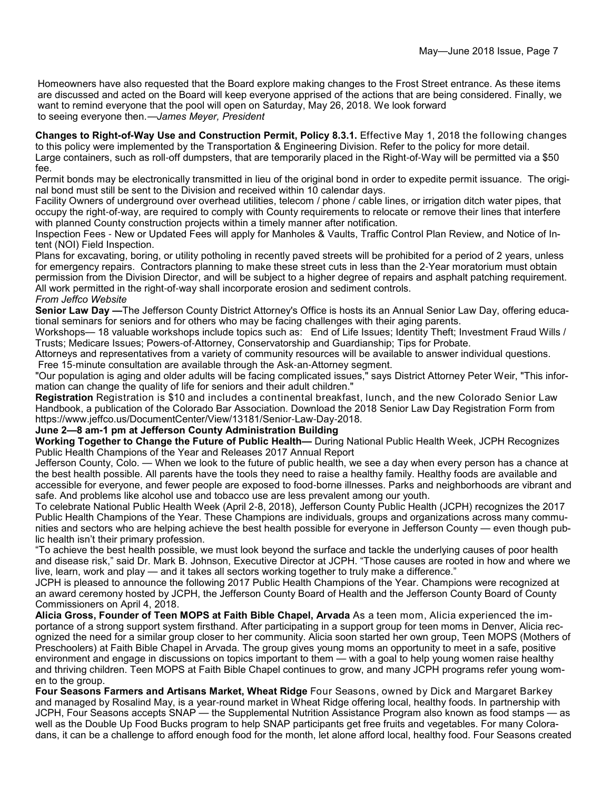Homeowners have also requested that the Board explore making changes to the Frost Street entrance. As these items are discussed and acted on the Board will keep everyone apprised of the actions that are being considered. Finally, we want to remind everyone that the pool will open on Saturday, May 26, 2018. We look forward to seeing everyone then.—*James Meyer, President*

**Changes to Right-of-Way Use and Construction Permit, Policy 8.3.1.** Effective May 1, 2018 the following changes to this policy were implemented by the Transportation & Engineering Division. Refer to the policy for more detail. Large containers, such as roll-off dumpsters, that are temporarily placed in the Right-of-Way will be permitted via a \$50 fee.

Permit bonds may be electronically transmitted in lieu of the original bond in order to expedite permit issuance. The original bond must still be sent to the Division and received within 10 calendar days.

Facility Owners of underground over overhead utilities, telecom / phone / cable lines, or irrigation ditch water pipes, that occupy the right-of-way, are required to comply with County requirements to relocate or remove their lines that interfere with planned County construction projects within a timely manner after notification.

Inspection Fees - New or Updated Fees will apply for Manholes & Vaults, Traffic Control Plan Review, and Notice of Intent (NOI) Field Inspection.

Plans for excavating, boring, or utility potholing in recently paved streets will be prohibited for a period of 2 years, unless for emergency repairs. Contractors planning to make these street cuts in less than the 2-Year moratorium must obtain permission from the Division Director, and will be subject to a higher degree of repairs and asphalt patching requirement. All work permitted in the right-of-way shall incorporate erosion and sediment controls.

#### *From Jeffco Website*

**Senior Law Day —**The Jefferson County District Attorney's Office is hosts its an Annual Senior Law Day, offering educational seminars for seniors and for others who may be facing challenges with their aging parents.

Workshops— 18 valuable workshops include topics such as: End of Life Issues; Identity Theft; Investment Fraud Wills / Trusts; Medicare Issues; Powers-of-Attorney, Conservatorship and Guardianship; Tips for Probate.

Attorneys and representatives from a variety of community resources will be available to answer individual questions. Free 15-minute consultation are available through the Ask-an-Attorney segment.

"Our population is aging and older adults will be facing complicated issues," says District Attorney Peter Weir, "This information can change the quality of life for seniors and their adult children."

**Registration** Registration is \$10 and includes a continental breakfast, lunch, and the new Colorado Senior Law Handbook, a publication of the Colorado Bar Association. Download the 2018 Senior Law Day Registration Form from https://www.jeffco.us/DocumentCenter/View/13181/Senior-Law-Day-2018.

#### **June 2—8 am-1 pm at Jefferson County Administration Building**

**Working Together to Change the Future of Public Health—** During National Public Health Week, JCPH Recognizes Public Health Champions of the Year and Releases 2017 Annual Report

Jefferson County, Colo. — When we look to the future of public health, we see a day when every person has a chance at the best health possible. All parents have the tools they need to raise a healthy family. Healthy foods are available and accessible for everyone, and fewer people are exposed to food-borne illnesses. Parks and neighborhoods are vibrant and safe. And problems like alcohol use and tobacco use are less prevalent among our youth.

To celebrate National Public Health Week (April 2-8, 2018), Jefferson County Public Health (JCPH) recognizes the 2017 Public Health Champions of the Year. These Champions are individuals, groups and organizations across many communities and sectors who are helping achieve the best health possible for everyone in Jefferson County — even though public health isn't their primary profession.

"To achieve the best health possible, we must look beyond the surface and tackle the underlying causes of poor health and disease risk," said Dr. Mark B. Johnson, Executive Director at JCPH. "Those causes are rooted in how and where we live, learn, work and play — and it takes all sectors working together to truly make a difference."

JCPH is pleased to announce the following 2017 Public Health Champions of the Year. Champions were recognized at an award ceremony hosted by JCPH, the Jefferson County Board of Health and the Jefferson County Board of County Commissioners on April 4, 2018.

**Alicia Gross, Founder of Teen MOPS at Faith Bible Chapel, Arvada** As a teen mom, Alicia experienced the importance of a strong support system firsthand. After participating in a support group for teen moms in Denver, Alicia recognized the need for a similar group closer to her community. Alicia soon started her own group, Teen MOPS (Mothers of Preschoolers) at Faith Bible Chapel in Arvada. The group gives young moms an opportunity to meet in a safe, positive environment and engage in discussions on topics important to them — with a goal to help young women raise healthy and thriving children. Teen MOPS at Faith Bible Chapel continues to grow, and many JCPH programs refer young women to the group.

**Four Seasons Farmers and Artisans Market, Wheat Ridge** Four Seasons, owned by Dick and Margaret Barkey and managed by Rosalind May, is a year-round market in Wheat Ridge offering local, healthy foods. In partnership with JCPH, Four Seasons accepts SNAP — the Supplemental Nutrition Assistance Program also known as food stamps — as well as the Double Up Food Bucks program to help SNAP participants get free fruits and vegetables. For many Coloradans, it can be a challenge to afford enough food for the month, let alone afford local, healthy food. Four Seasons created